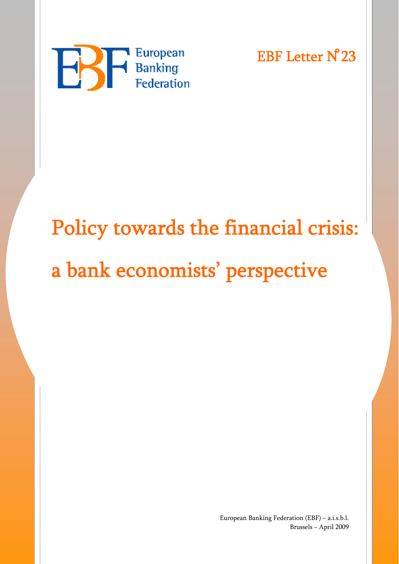

EBF Letter N**̊**23

# Policy towards the financial crisis: a bank economists' perspective

European Banking Federation (EBF) – a.i.s.b.l. Brussels – April 2009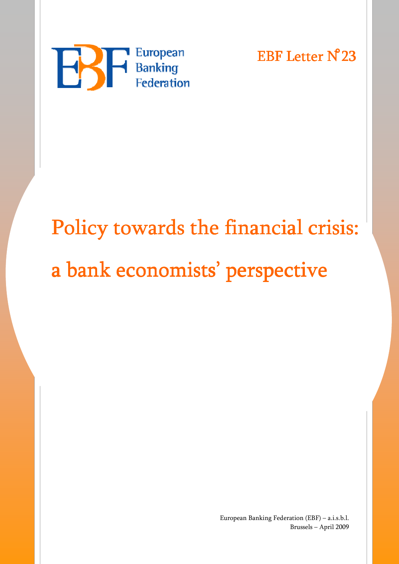

EBF Letter N<sup>23</sup>

## Policy towards the financial crisis: a bank economists' perspective

European Banking Federation (EBF) – a.i.s.b.l. Brussels – April 2009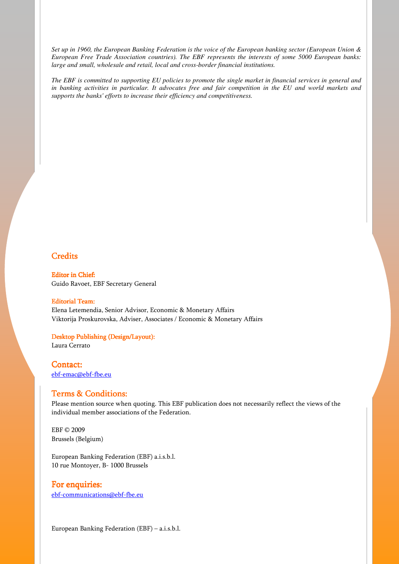*Set up in 1960, the European Banking Federation is the voice of the European banking sector (European Union & European Free Trade Association countries). The EBF represents the interests of some 5000 European banks: large and small, wholesale and retail, local and cross-border financial institutions.* 

*The EBF is committed to supporting EU policies to promote the single market in financial services in general and in banking activities in particular. It advocates free and fair competition in the EU and world markets and supports the banks' efforts to increase their efficiency and competitiveness.* 

#### **Credits**

**Editor in Chief:** Guido Ravoet, EBF Secretary General

Editorial Team: Elena Letemendia, Senior Advisor, Economic & Monetary Affairs Viktorija Proskurovska, Adviser, Associates / Economic & Monetary Affairs

#### Desktop Publishing (Design/Layout):

Laura Cerrato

Contact: ebf-emac@ebf-fbe.eu

#### Terms & Conditions:

Please mention source when quoting. This EBF publication does not necessarily reflect the views of the individual member associations of the Federation.

EBF © 2009 Brussels (Belgium)

European Banking Federation (EBF) a.i.s.b.l. 10 rue Montoyer, B- 1000 Brussels

#### For enquiries:

ebf-communications@ebf-fbe.eu

European Banking Federation (EBF) – a.i.s.b.l.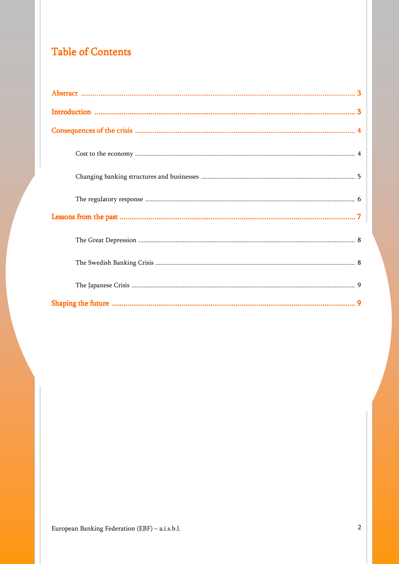### **Table of Contents**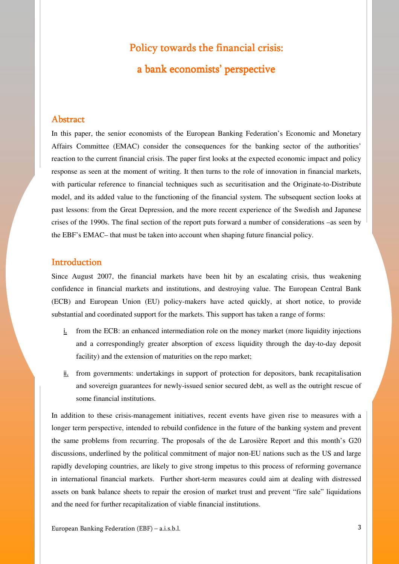### Policy towards the financial crisis: a bank economists' perspective

#### **Abstract**

In this paper, the senior economists of the European Banking Federation's Economic and Monetary Affairs Committee (EMAC) consider the consequences for the banking sector of the authorities' reaction to the current financial crisis. The paper first looks at the expected economic impact and policy response as seen at the moment of writing. It then turns to the role of innovation in financial markets, with particular reference to financial techniques such as securitisation and the Originate-to-Distribute model, and its added value to the functioning of the financial system. The subsequent section looks at past lessons: from the Great Depression, and the more recent experience of the Swedish and Japanese crises of the 1990s. The final section of the report puts forward a number of considerations –as seen by the EBF's EMAC– that must be taken into account when shaping future financial policy.

#### **Introduction**

Since August 2007, the financial markets have been hit by an escalating crisis, thus weakening confidence in financial markets and institutions, and destroying value. The European Central Bank (ECB) and European Union (EU) policy-makers have acted quickly, at short notice, to provide substantial and coordinated support for the markets. This support has taken a range of forms:

- i. from the ECB: an enhanced intermediation role on the money market (more liquidity injections and a correspondingly greater absorption of excess liquidity through the day-to-day deposit facility) and the extension of maturities on the repo market;
- ii. from governments: undertakings in support of protection for depositors, bank recapitalisation and sovereign guarantees for newly-issued senior secured debt, as well as the outright rescue of some financial institutions.

In addition to these crisis-management initiatives, recent events have given rise to measures with a longer term perspective, intended to rebuild confidence in the future of the banking system and prevent the same problems from recurring. The proposals of the de Larosière Report and this month's G20 discussions, underlined by the political commitment of major non-EU nations such as the US and large rapidly developing countries, are likely to give strong impetus to this process of reforming governance in international financial markets. Further short-term measures could aim at dealing with distressed assets on bank balance sheets to repair the erosion of market trust and prevent "fire sale" liquidations and the need for further recapitalization of viable financial institutions.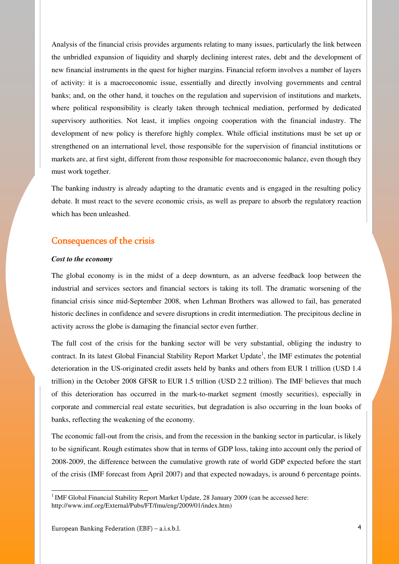Analysis of the financial crisis provides arguments relating to many issues, particularly the link between the unbridled expansion of liquidity and sharply declining interest rates, debt and the development of new financial instruments in the quest for higher margins. Financial reform involves a number of layers of activity: it is a macroeconomic issue, essentially and directly involving governments and central banks; and, on the other hand, it touches on the regulation and supervision of institutions and markets, where political responsibility is clearly taken through technical mediation, performed by dedicated supervisory authorities. Not least, it implies ongoing cooperation with the financial industry. The development of new policy is therefore highly complex. While official institutions must be set up or strengthened on an international level, those responsible for the supervision of financial institutions or markets are, at first sight, different from those responsible for macroeconomic balance, even though they must work together.

The banking industry is already adapting to the dramatic events and is engaged in the resulting policy debate. It must react to the severe economic crisis, as well as prepare to absorb the regulatory reaction which has been unleashed.

#### Consequences of the crisis

#### *Cost to the economy*

The global economy is in the midst of a deep downturn, as an adverse feedback loop between the industrial and services sectors and financial sectors is taking its toll. The dramatic worsening of the financial crisis since mid-September 2008, when Lehman Brothers was allowed to fail, has generated historic declines in confidence and severe disruptions in credit intermediation. The precipitous decline in activity across the globe is damaging the financial sector even further.

The full cost of the crisis for the banking sector will be very substantial, obliging the industry to contract. In its latest Global Financial Stability Report Market Update<sup>1</sup>, the IMF estimates the potential deterioration in the US-originated credit assets held by banks and others from EUR 1 trillion (USD 1.4 trillion) in the October 2008 GFSR to EUR 1.5 trillion (USD 2.2 trillion). The IMF believes that much of this deterioration has occurred in the mark-to-market segment (mostly securities), especially in corporate and commercial real estate securities, but degradation is also occurring in the loan books of banks, reflecting the weakening of the economy.

The economic fall-out from the crisis, and from the recession in the banking sector in particular, is likely to be significant. Rough estimates show that in terms of GDP loss, taking into account only the period of 2008-2009, the difference between the cumulative growth rate of world GDP expected before the start of the crisis (IMF forecast from April 2007) and that expected nowadays, is around 6 percentage points.

L

<sup>&</sup>lt;sup>1</sup> IMF Global Financial Stability Report Market Update, 28 January 2009 (can be accessed here: http://www.imf.org/External/Pubs/FT/fmu/eng/2009/01/index.htm)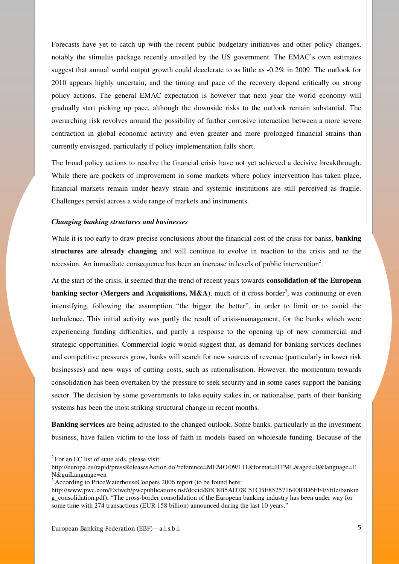Forecasts have yet to catch up with the recent public budgetary initiatives and other policy changes, notably the stimulus package recently unveiled by the US government. The EMAC's own estimates suggest that annual world output growth could decelerate to as little as -0.2% in 2009. The outlook for 2010 appears highly uncertain, and the timing and pace of the recovery depend critically on strong policy actions. The general EMAC expectation is however that next year the world economy will gradually start picking up pace, although the downside risks to the outlook remain substantial. The overarching risk revolves around the possibility of further corrosive interaction between a more severe contraction in global economic activity and even greater and more prolonged financial strains than currently envisaged, particularly if policy implementation falls short.

The broad policy actions to resolve the financial crisis have not yet achieved a decisive breakthrough. While there are pockets of improvement in some markets where policy intervention has taken place, financial markets remain under heavy strain and systemic institutions are still perceived as fragile. Challenges persist across a wide range of markets and instruments.

#### *Changing banking structures and businesses*

While it is too early to draw precise conclusions about the financial cost of the crisis for banks, **banking structures are already changing** and will continue to evolve in reaction to the crisis and to the recession. An immediate consequence has been an increase in levels of public intervention<sup>2</sup>.

At the start of the crisis, it seemed that the trend of recent years towards **consolidation of the European banking sector (Mergers and Acquisitions, M&A)**, much of it cross-border<sup>3</sup>, was continuing or even intensifying, following the assumption "the bigger the better", in order to limit or to avoid the turbulence. This initial activity was partly the result of crisis-management, for the banks which were experiencing funding difficulties, and partly a response to the opening up of new commercial and strategic opportunities. Commercial logic would suggest that, as demand for banking services declines and competitive pressures grow, banks will search for new sources of revenue (particularly in lower risk businesses) and new ways of cutting costs, such as rationalisation. However, the momentum towards consolidation has been overtaken by the pressure to seek security and in some cases support the banking sector. The decision by some governments to take equity stakes in, or nationalise, parts of their banking systems has been the most striking structural change in recent months.

**Banking services** are being adjusted to the changed outlook. Some banks, particularly in the investment business, have fallen victim to the loss of faith in models based on wholesale funding. Because of the

 $2^2$  For an EC list of state aids, please visit:

http://europa.eu/rapid/pressReleasesAction.do?reference=MEMO/09/111&format=HTML&aged=0&language=E N&guiLanguage=en

 $3$  According to PriceWaterhouseCoopers 2006 report (to be found here:

http://www.pwc.com/Extweb/pwcpublications.nsf/docid/8EC8B5AD78C51CBE85257164003D6FF4/\$file/bankin g\_consolidation.pdf), "The cross-border consolidation of the European banking industry has been under way for some time with 274 transactions (EUR 158 billion) announced during the last 10 years."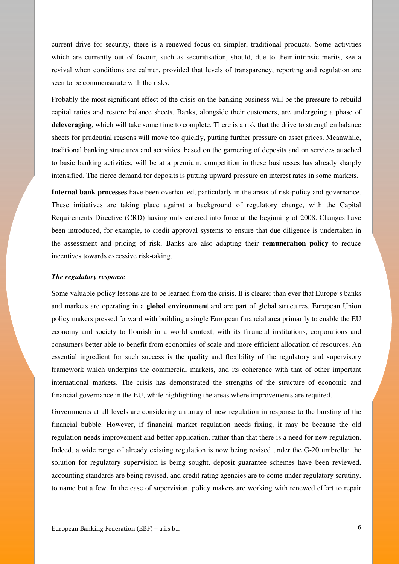current drive for security, there is a renewed focus on simpler, traditional products. Some activities which are currently out of favour, such as securitisation, should, due to their intrinsic merits, see a revival when conditions are calmer, provided that levels of transparency, reporting and regulation are seen to be commensurate with the risks.

Probably the most significant effect of the crisis on the banking business will be the pressure to rebuild capital ratios and restore balance sheets. Banks, alongside their customers, are undergoing a phase of **deleveraging**, which will take some time to complete. There is a risk that the drive to strengthen balance sheets for prudential reasons will move too quickly, putting further pressure on asset prices. Meanwhile, traditional banking structures and activities, based on the garnering of deposits and on services attached to basic banking activities, will be at a premium; competition in these businesses has already sharply intensified. The fierce demand for deposits is putting upward pressure on interest rates in some markets.

**Internal bank processes** have been overhauled, particularly in the areas of risk-policy and governance. These initiatives are taking place against a background of regulatory change, with the Capital Requirements Directive (CRD) having only entered into force at the beginning of 2008. Changes have been introduced, for example, to credit approval systems to ensure that due diligence is undertaken in the assessment and pricing of risk. Banks are also adapting their **remuneration policy** to reduce incentives towards excessive risk-taking.

#### *The regulatory response*

Some valuable policy lessons are to be learned from the crisis. It is clearer than ever that Europe's banks and markets are operating in a **global environment** and are part of global structures. European Union policy makers pressed forward with building a single European financial area primarily to enable the EU economy and society to flourish in a world context, with its financial institutions, corporations and consumers better able to benefit from economies of scale and more efficient allocation of resources. An essential ingredient for such success is the quality and flexibility of the regulatory and supervisory framework which underpins the commercial markets, and its coherence with that of other important international markets. The crisis has demonstrated the strengths of the structure of economic and financial governance in the EU, while highlighting the areas where improvements are required.

Governments at all levels are considering an array of new regulation in response to the bursting of the financial bubble. However, if financial market regulation needs fixing, it may be because the old regulation needs improvement and better application, rather than that there is a need for new regulation. Indeed, a wide range of already existing regulation is now being revised under the G-20 umbrella: the solution for regulatory supervision is being sought, deposit guarantee schemes have been reviewed, accounting standards are being revised, and credit rating agencies are to come under regulatory scrutiny, to name but a few. In the case of supervision, policy makers are working with renewed effort to repair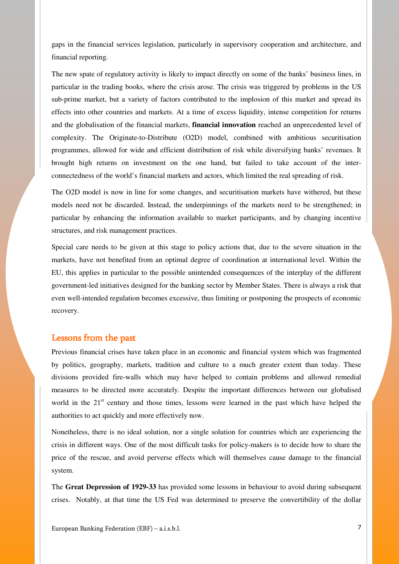gaps in the financial services legislation, particularly in supervisory cooperation and architecture, and financial reporting.

The new spate of regulatory activity is likely to impact directly on some of the banks' business lines, in particular in the trading books, where the crisis arose. The crisis was triggered by problems in the US sub-prime market, but a variety of factors contributed to the implosion of this market and spread its effects into other countries and markets. At a time of excess liquidity, intense competition for returns and the globalisation of the financial markets, **financial innovation** reached an unprecedented level of complexity. The Originate-to-Distribute (O2D) model, combined with ambitious securitisation programmes, allowed for wide and efficient distribution of risk while diversifying banks' revenues. It brought high returns on investment on the one hand, but failed to take account of the interconnectedness of the world's financial markets and actors, which limited the real spreading of risk.

The O2D model is now in line for some changes, and securitisation markets have withered, but these models need not be discarded. Instead, the underpinnings of the markets need to be strengthened; in particular by enhancing the information available to market participants, and by changing incentive structures, and risk management practices.

Special care needs to be given at this stage to policy actions that, due to the severe situation in the markets, have not benefited from an optimal degree of coordination at international level. Within the EU, this applies in particular to the possible unintended consequences of the interplay of the different government-led initiatives designed for the banking sector by Member States. There is always a risk that even well-intended regulation becomes excessive, thus limiting or postponing the prospects of economic recovery.

#### Lessons from the past

Previous financial crises have taken place in an economic and financial system which was fragmented by politics, geography, markets, tradition and culture to a much greater extent than today. These divisions provided fire-walls which may have helped to contain problems and allowed remedial measures to be directed more accurately. Despite the important differences between our globalised world in the  $21<sup>st</sup>$  century and those times, lessons were learned in the past which have helped the authorities to act quickly and more effectively now.

Nonetheless, there is no ideal solution, nor a single solution for countries which are experiencing the crisis in different ways. One of the most difficult tasks for policy-makers is to decide how to share the price of the rescue, and avoid perverse effects which will themselves cause damage to the financial system.

The **Great Depression of 1929-33** has provided some lessons in behaviour to avoid during subsequent crises. Notably, at that time the US Fed was determined to preserve the convertibility of the dollar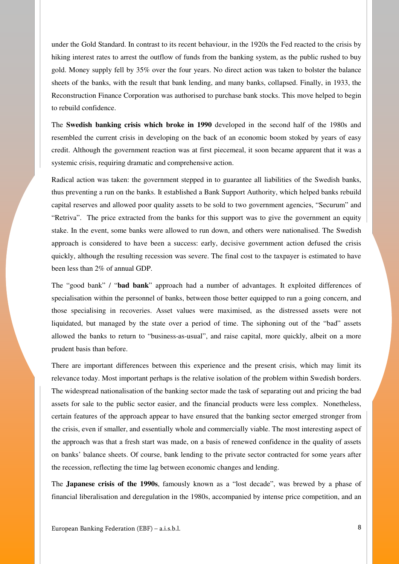under the Gold Standard. In contrast to its recent behaviour, in the 1920s the Fed reacted to the crisis by hiking interest rates to arrest the outflow of funds from the banking system, as the public rushed to buy gold. Money supply fell by 35% over the four years. No direct action was taken to bolster the balance sheets of the banks, with the result that bank lending, and many banks, collapsed. Finally, in 1933, the Reconstruction Finance Corporation was authorised to purchase bank stocks. This move helped to begin to rebuild confidence.

The **Swedish banking crisis which broke in 1990** developed in the second half of the 1980s and resembled the current crisis in developing on the back of an economic boom stoked by years of easy credit. Although the government reaction was at first piecemeal, it soon became apparent that it was a systemic crisis, requiring dramatic and comprehensive action.

Radical action was taken: the government stepped in to guarantee all liabilities of the Swedish banks, thus preventing a run on the banks. It established a Bank Support Authority, which helped banks rebuild capital reserves and allowed poor quality assets to be sold to two government agencies, "Securum" and "Retriva". The price extracted from the banks for this support was to give the government an equity stake. In the event, some banks were allowed to run down, and others were nationalised. The Swedish approach is considered to have been a success: early, decisive government action defused the crisis quickly, although the resulting recession was severe. The final cost to the taxpayer is estimated to have been less than 2% of annual GDP.

The "good bank" / "**bad bank**" approach had a number of advantages. It exploited differences of specialisation within the personnel of banks, between those better equipped to run a going concern, and those specialising in recoveries. Asset values were maximised, as the distressed assets were not liquidated, but managed by the state over a period of time. The siphoning out of the "bad" assets allowed the banks to return to "business-as-usual", and raise capital, more quickly, albeit on a more prudent basis than before.

There are important differences between this experience and the present crisis, which may limit its relevance today. Most important perhaps is the relative isolation of the problem within Swedish borders. The widespread nationalisation of the banking sector made the task of separating out and pricing the bad assets for sale to the public sector easier, and the financial products were less complex. Nonetheless, certain features of the approach appear to have ensured that the banking sector emerged stronger from the crisis, even if smaller, and essentially whole and commercially viable. The most interesting aspect of the approach was that a fresh start was made, on a basis of renewed confidence in the quality of assets on banks' balance sheets. Of course, bank lending to the private sector contracted for some years after the recession, reflecting the time lag between economic changes and lending.

The **Japanese crisis of the 1990s**, famously known as a "lost decade", was brewed by a phase of financial liberalisation and deregulation in the 1980s, accompanied by intense price competition, and an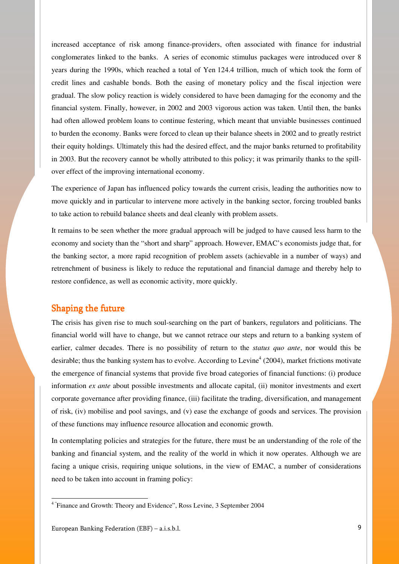increased acceptance of risk among finance-providers, often associated with finance for industrial conglomerates linked to the banks. A series of economic stimulus packages were introduced over 8 years during the 1990s, which reached a total of Yen 124.4 trillion, much of which took the form of credit lines and cashable bonds. Both the easing of monetary policy and the fiscal injection were gradual. The slow policy reaction is widely considered to have been damaging for the economy and the financial system. Finally, however, in 2002 and 2003 vigorous action was taken. Until then, the banks had often allowed problem loans to continue festering, which meant that unviable businesses continued to burden the economy. Banks were forced to clean up their balance sheets in 2002 and to greatly restrict their equity holdings. Ultimately this had the desired effect, and the major banks returned to profitability in 2003. But the recovery cannot be wholly attributed to this policy; it was primarily thanks to the spillover effect of the improving international economy.

The experience of Japan has influenced policy towards the current crisis, leading the authorities now to move quickly and in particular to intervene more actively in the banking sector, forcing troubled banks to take action to rebuild balance sheets and deal cleanly with problem assets.

It remains to be seen whether the more gradual approach will be judged to have caused less harm to the economy and society than the "short and sharp" approach. However, EMAC's economists judge that, for the banking sector, a more rapid recognition of problem assets (achievable in a number of ways) and retrenchment of business is likely to reduce the reputational and financial damage and thereby help to restore confidence, as well as economic activity, more quickly.

#### Shaping the future

The crisis has given rise to much soul-searching on the part of bankers, regulators and politicians. The financial world will have to change, but we cannot retrace our steps and return to a banking system of earlier, calmer decades. There is no possibility of return to the *status quo ante*, nor would this be desirable; thus the banking system has to evolve. According to Levine<sup>4</sup> (2004), market frictions motivate the emergence of financial systems that provide five broad categories of financial functions: (i) produce information *ex ante* about possible investments and allocate capital, (ii) monitor investments and exert corporate governance after providing finance, (iii) facilitate the trading, diversification, and management of risk, (iv) mobilise and pool savings, and (v) ease the exchange of goods and services. The provision of these functions may influence resource allocation and economic growth.

In contemplating policies and strategies for the future, there must be an understanding of the role of the banking and financial system, and the reality of the world in which it now operates. Although we are facing a unique crisis, requiring unique solutions, in the view of EMAC, a number of considerations need to be taken into account in framing policy:

<sup>&</sup>lt;sup>4</sup> "Finance and Growth: Theory and Evidence", Ross Levine, 3 September 2004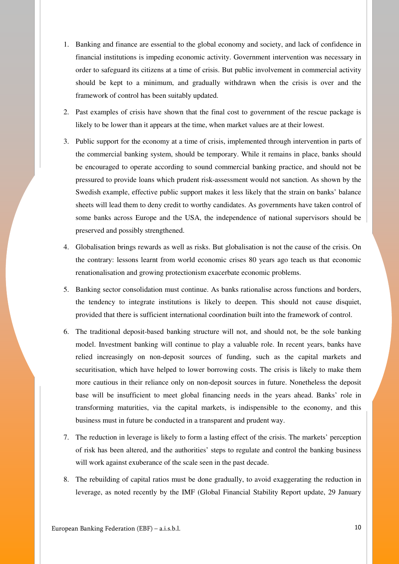- 1. Banking and finance are essential to the global economy and society, and lack of confidence in financial institutions is impeding economic activity. Government intervention was necessary in order to safeguard its citizens at a time of crisis. But public involvement in commercial activity should be kept to a minimum, and gradually withdrawn when the crisis is over and the framework of control has been suitably updated.
- 2. Past examples of crisis have shown that the final cost to government of the rescue package is likely to be lower than it appears at the time, when market values are at their lowest.
- 3. Public support for the economy at a time of crisis, implemented through intervention in parts of the commercial banking system, should be temporary. While it remains in place, banks should be encouraged to operate according to sound commercial banking practice, and should not be pressured to provide loans which prudent risk-assessment would not sanction. As shown by the Swedish example, effective public support makes it less likely that the strain on banks' balance sheets will lead them to deny credit to worthy candidates. As governments have taken control of some banks across Europe and the USA, the independence of national supervisors should be preserved and possibly strengthened.
- 4. Globalisation brings rewards as well as risks. But globalisation is not the cause of the crisis. On the contrary: lessons learnt from world economic crises 80 years ago teach us that economic renationalisation and growing protectionism exacerbate economic problems.
- 5. Banking sector consolidation must continue. As banks rationalise across functions and borders, the tendency to integrate institutions is likely to deepen. This should not cause disquiet, provided that there is sufficient international coordination built into the framework of control.
- 6. The traditional deposit-based banking structure will not, and should not, be the sole banking model. Investment banking will continue to play a valuable role. In recent years, banks have relied increasingly on non-deposit sources of funding, such as the capital markets and securitisation, which have helped to lower borrowing costs. The crisis is likely to make them more cautious in their reliance only on non-deposit sources in future. Nonetheless the deposit base will be insufficient to meet global financing needs in the years ahead. Banks' role in transforming maturities, via the capital markets, is indispensible to the economy, and this business must in future be conducted in a transparent and prudent way.
- 7. The reduction in leverage is likely to form a lasting effect of the crisis. The markets' perception of risk has been altered, and the authorities' steps to regulate and control the banking business will work against exuberance of the scale seen in the past decade.
- 8. The rebuilding of capital ratios must be done gradually, to avoid exaggerating the reduction in leverage, as noted recently by the IMF (Global Financial Stability Report update, 29 January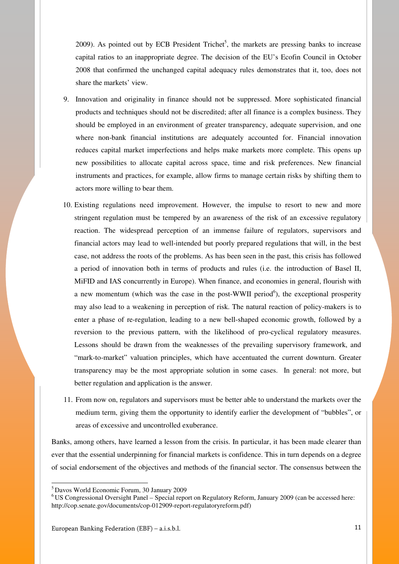$2009$ ). As pointed out by ECB President Trichet<sup>5</sup>, the markets are pressing banks to increase capital ratios to an inappropriate degree. The decision of the EU's Ecofin Council in October 2008 that confirmed the unchanged capital adequacy rules demonstrates that it, too, does not share the markets' view.

- 9. Innovation and originality in finance should not be suppressed. More sophisticated financial products and techniques should not be discredited; after all finance is a complex business. They should be employed in an environment of greater transparency, adequate supervision, and one where non-bank financial institutions are adequately accounted for. Financial innovation reduces capital market imperfections and helps make markets more complete. This opens up new possibilities to allocate capital across space, time and risk preferences. New financial instruments and practices, for example, allow firms to manage certain risks by shifting them to actors more willing to bear them.
- 10. Existing regulations need improvement. However, the impulse to resort to new and more stringent regulation must be tempered by an awareness of the risk of an excessive regulatory reaction. The widespread perception of an immense failure of regulators, supervisors and financial actors may lead to well-intended but poorly prepared regulations that will, in the best case, not address the roots of the problems. As has been seen in the past, this crisis has followed a period of innovation both in terms of products and rules (i.e. the introduction of Basel II, MiFID and IAS concurrently in Europe). When finance, and economies in general, flourish with a new momentum (which was the case in the post-WWII period<sup>6</sup>), the exceptional prosperity may also lead to a weakening in perception of risk. The natural reaction of policy-makers is to enter a phase of re-regulation, leading to a new bell-shaped economic growth, followed by a reversion to the previous pattern, with the likelihood of pro-cyclical regulatory measures. Lessons should be drawn from the weaknesses of the prevailing supervisory framework, and "mark-to-market" valuation principles, which have accentuated the current downturn. Greater transparency may be the most appropriate solution in some cases. In general: not more, but better regulation and application is the answer.
- 11. From now on, regulators and supervisors must be better able to understand the markets over the medium term, giving them the opportunity to identify earlier the development of "bubbles", or areas of excessive and uncontrolled exuberance.

Banks, among others, have learned a lesson from the crisis. In particular, it has been made clearer than ever that the essential underpinning for financial markets is confidence. This in turn depends on a degree of social endorsement of the objectives and methods of the financial sector. The consensus between the

<sup>5</sup>Davos World Economic Forum, 30 January 2009

<sup>6</sup>US Congressional Oversight Panel – Special report on Regulatory Reform, January 2009 (can be accessed here: http://cop.senate.gov/documents/cop-012909-report-regulatoryreform.pdf)